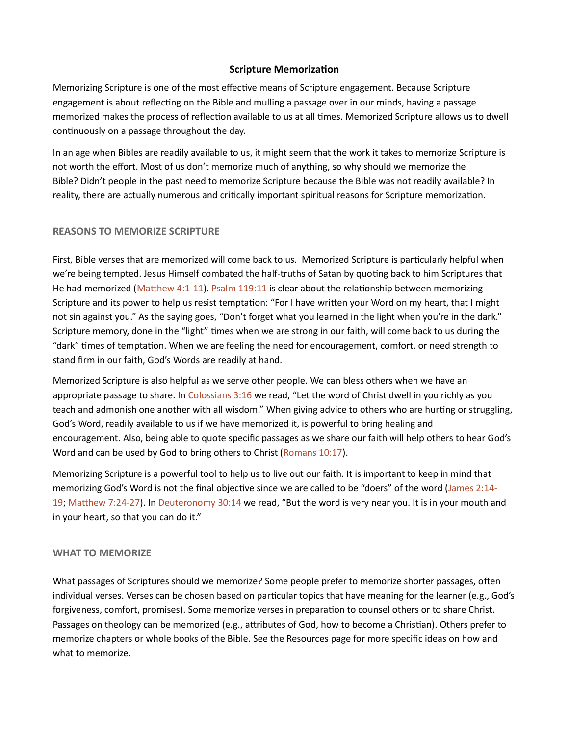# Scripture Memorization

Memorizing Scripture is one of the most effective means of Scripture engagement. Because Scripture engagement is about reflecting on the Bible and mulling a passage over in our minds, having a passage memorized makes the process of reflection available to us at all times. Memorized Scripture allows us to dwell continuously on a passage throughout the day.

In an age when Bibles are readily available to us, it might seem that the work it takes to memorize Scripture is not worth the effort. Most of us don't memorize much of anything, so why should we memorize the Bible? Didn't people in the past need to memorize Scripture because the Bible was not readily available? In reality, there are actually numerous and critically important spiritual reasons for Scripture memorization.

# REASONS TO MEMORIZE SCRIPTURE

First, Bible verses that are memorized will come back to us. Memorized Scripture is particularly helpful when we're being tempted. Jesus Himself combated the half-truths of Satan by quoting back to him Scriptures that He had memorized (Matthew 4:1-11). Psalm 119:11 is clear about the relationship between memorizing Scripture and its power to help us resist temptation: "For I have written your Word on my heart, that I might not sin against you." As the saying goes, "Don't forget what you learned in the light when you're in the dark." Scripture memory, done in the "light" times when we are strong in our faith, will come back to us during the "dark" times of temptation. When we are feeling the need for encouragement, comfort, or need strength to stand firm in our faith, God's Words are readily at hand.

Memorized Scripture is also helpful as we serve other people. We can bless others when we have an appropriate passage to share. In Colossians 3:16 we read, "Let the word of Christ dwell in you richly as you teach and admonish one another with all wisdom." When giving advice to others who are hurting or struggling, God's Word, readily available to us if we have memorized it, is powerful to bring healing and encouragement. Also, being able to quote specific passages as we share our faith will help others to hear God's Word and can be used by God to bring others to Christ (Romans 10:17).

Memorizing Scripture is a powerful tool to help us to live out our faith. It is important to keep in mind that memorizing God's Word is not the final objective since we are called to be "doers" of the word (James 2:14-19; Matthew 7:24-27). In Deuteronomy 30:14 we read, "But the word is very near you. It is in your mouth and in your heart, so that you can do it."

### WHAT TO MEMORIZE

What passages of Scriptures should we memorize? Some people prefer to memorize shorter passages, often individual verses. Verses can be chosen based on particular topics that have meaning for the learner (e.g., God's forgiveness, comfort, promises). Some memorize verses in preparation to counsel others or to share Christ. Passages on theology can be memorized (e.g., attributes of God, how to become a Christian). Others prefer to memorize chapters or whole books of the Bible. See the Resources page for more specific ideas on how and what to memorize.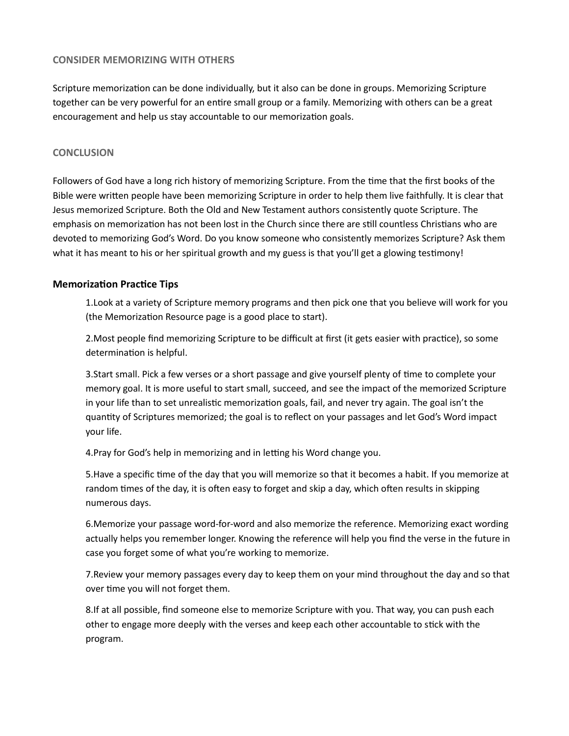### CONSIDER MEMORIZING WITH OTHERS

Scripture memorization can be done individually, but it also can be done in groups. Memorizing Scripture together can be very powerful for an entire small group or a family. Memorizing with others can be a great encouragement and help us stay accountable to our memorization goals.

### **CONCLUSION**

Followers of God have a long rich history of memorizing Scripture. From the time that the first books of the Bible were written people have been memorizing Scripture in order to help them live faithfully. It is clear that Jesus memorized Scripture. Both the Old and New Testament authors consistently quote Scripture. The emphasis on memorization has not been lost in the Church since there are still countless Christians who are devoted to memorizing God's Word. Do you know someone who consistently memorizes Scripture? Ask them what it has meant to his or her spiritual growth and my guess is that you'll get a glowing testimony!

### **Memorization Practice Tips**

1.Look at a variety of Scripture memory programs and then pick one that you believe will work for you (the Memorization Resource page is a good place to start).

2. Most people find memorizing Scripture to be difficult at first (it gets easier with practice), so some determination is helpful.

3. Start small. Pick a few verses or a short passage and give yourself plenty of time to complete your memory goal. It is more useful to start small, succeed, and see the impact of the memorized Scripture in your life than to set unrealistic memorization goals, fail, and never try again. The goal isn't the quanƟty of Scriptures memorized; the goal is to reflect on your passages and let God's Word impact your life.

4. Pray for God's help in memorizing and in letting his Word change you.

5. Have a specific time of the day that you will memorize so that it becomes a habit. If you memorize at random times of the day, it is often easy to forget and skip a day, which often results in skipping numerous days.

6.Memorize your passage word-for-word and also memorize the reference. Memorizing exact wording actually helps you remember longer. Knowing the reference will help you find the verse in the future in case you forget some of what you're working to memorize.

7.Review your memory passages every day to keep them on your mind throughout the day and so that over time you will not forget them.

8.If at all possible, find someone else to memorize Scripture with you. That way, you can push each other to engage more deeply with the verses and keep each other accountable to stick with the program.